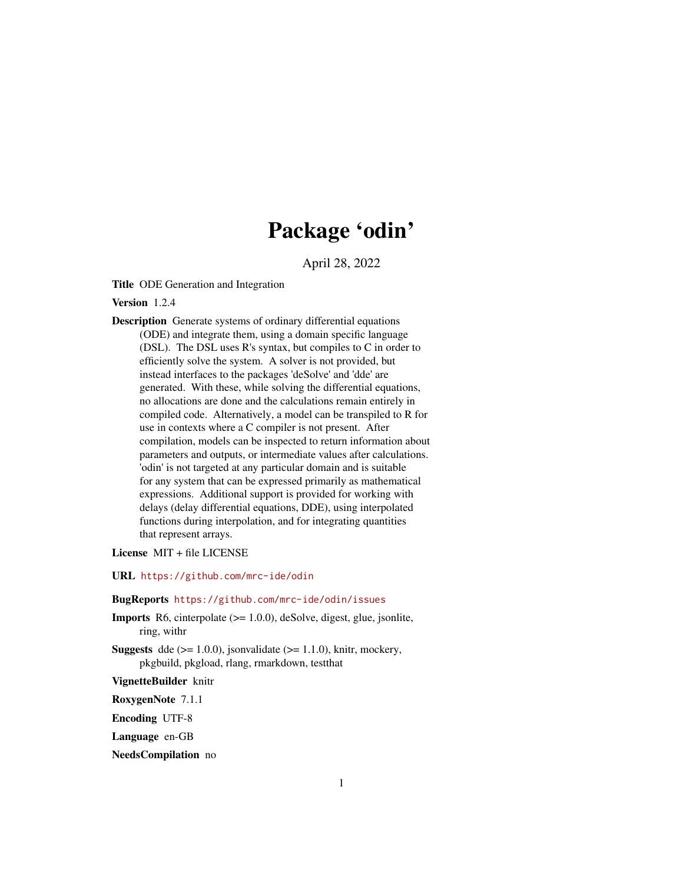# Package 'odin'

April 28, 2022

<span id="page-0-0"></span>Title ODE Generation and Integration

Version 1.2.4

Description Generate systems of ordinary differential equations (ODE) and integrate them, using a domain specific language (DSL). The DSL uses R's syntax, but compiles to C in order to efficiently solve the system. A solver is not provided, but instead interfaces to the packages 'deSolve' and 'dde' are generated. With these, while solving the differential equations, no allocations are done and the calculations remain entirely in compiled code. Alternatively, a model can be transpiled to R for use in contexts where a C compiler is not present. After compilation, models can be inspected to return information about parameters and outputs, or intermediate values after calculations. 'odin' is not targeted at any particular domain and is suitable for any system that can be expressed primarily as mathematical expressions. Additional support is provided for working with delays (delay differential equations, DDE), using interpolated functions during interpolation, and for integrating quantities that represent arrays.

License MIT + file LICENSE

URL <https://github.com/mrc-ide/odin>

#### BugReports <https://github.com/mrc-ide/odin/issues>

- Imports R6, cinterpolate (>= 1.0.0), deSolve, digest, glue, jsonlite, ring, withr
- **Suggests** dde  $(>= 1.0.0)$ , jsonvalidate  $(>= 1.1.0)$ , knitr, mockery, pkgbuild, pkgload, rlang, rmarkdown, testthat

VignetteBuilder knitr

RoxygenNote 7.1.1

Encoding UTF-8

Language en-GB

NeedsCompilation no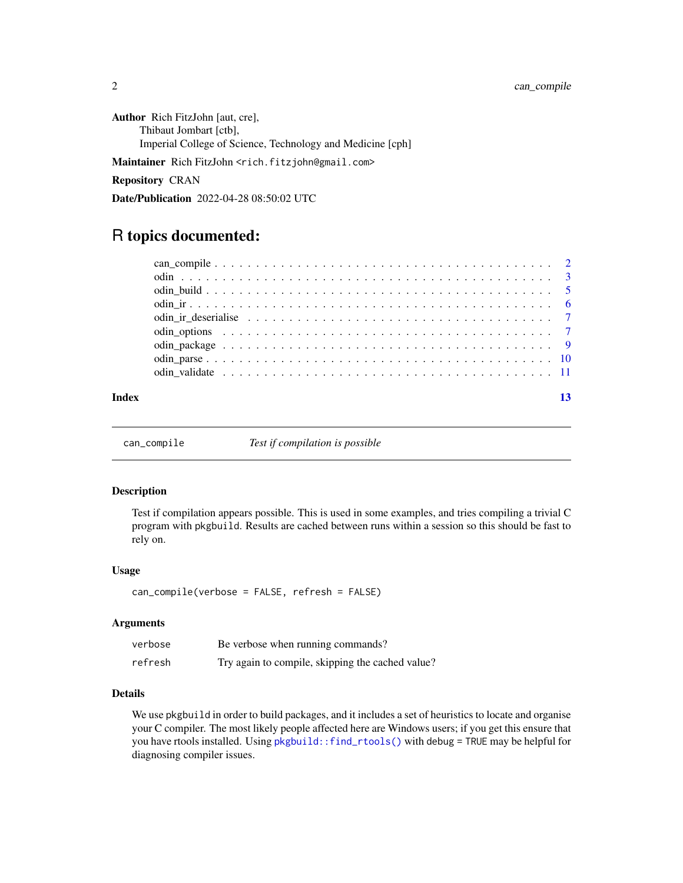<span id="page-1-0"></span>Author Rich FitzJohn [aut, cre], Thibaut Jombart [ctb], Imperial College of Science, Technology and Medicine [cph]

Maintainer Rich FitzJohn <rich.fitzjohn@gmail.com>

# Repository CRAN

Date/Publication 2022-04-28 08:50:02 UTC

# R topics documented:

| Index |  |
|-------|--|

can\_compile *Test if compilation is possible*

### Description

Test if compilation appears possible. This is used in some examples, and tries compiling a trivial C program with pkgbuild. Results are cached between runs within a session so this should be fast to rely on.

#### Usage

can\_compile(verbose = FALSE, refresh = FALSE)

#### Arguments

| verbose | Be verbose when running commands?                |
|---------|--------------------------------------------------|
| refresh | Try again to compile, skipping the cached value? |

# Details

We use pkgbuild in order to build packages, and it includes a set of heuristics to locate and organise your C compiler. The most likely people affected here are Windows users; if you get this ensure that you have rtools installed. Using [pkgbuild::find\\_rtools\(\)](#page-0-0) with debug = TRUE may be helpful for diagnosing compiler issues.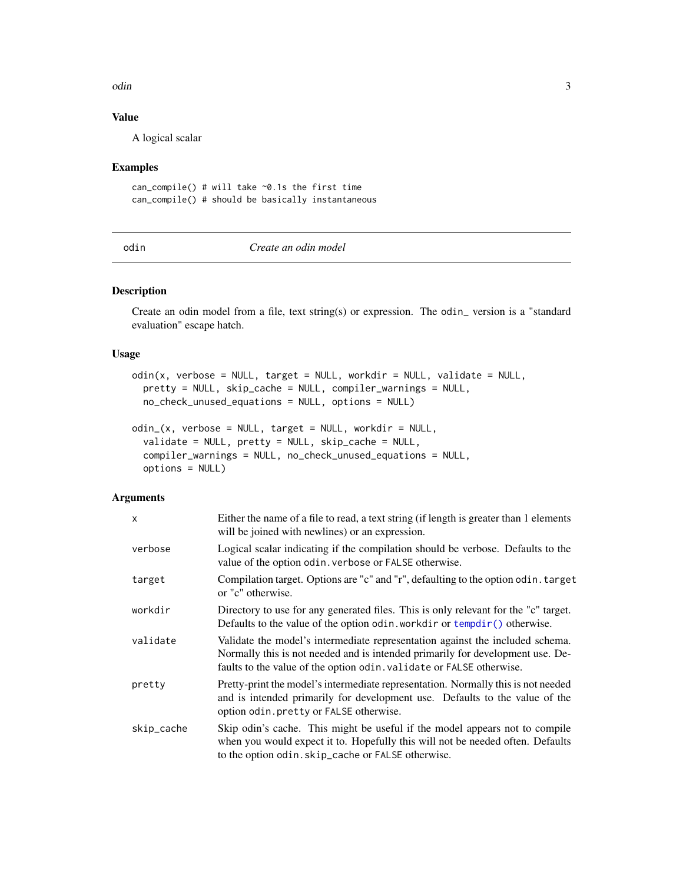<span id="page-2-0"></span>odin 3

# Value

A logical scalar

#### Examples

can\_compile() # will take  $\sim$ 0.1s the first time can\_compile() # should be basically instantaneous

<span id="page-2-1"></span>

| I      |  |
|--------|--|
| $\sim$ |  |

### odin *Create an odin model*

#### Description

Create an odin model from a file, text string(s) or expression. The odin\_ version is a "standard evaluation" escape hatch.

#### Usage

```
odin(x, verbose = NULL, target = NULL, workdir = NULL, validate = NULL,
 pretty = NULL, skip_cache = NULL, compiler_warnings = NULL,
 no_check_unused_equations = NULL, options = NULL)
```

```
odin_(x, verbose = NULL, target = NULL, workdir = NULL,
  validate = NULL, pretty = NULL, skip_cache = NULL,
  compiler_warnings = NULL, no_check_unused_equations = NULL,
 options = NULL)
```
# Arguments

| x          | Either the name of a file to read, a text string (if length is greater than 1 elements<br>will be joined with newlines) or an expression.                                                                                               |
|------------|-----------------------------------------------------------------------------------------------------------------------------------------------------------------------------------------------------------------------------------------|
| verbose    | Logical scalar indicating if the compilation should be verbose. Defaults to the<br>value of the option odin. verbose or FALSE otherwise.                                                                                                |
| target     | Compilation target. Options are "c" and "r", defaulting to the option odin. target<br>or "c" otherwise.                                                                                                                                 |
| workdir    | Directory to use for any generated files. This is only relevant for the "c" target.<br>Defaults to the value of the option odin. workdir or $tempdir()$ otherwise.                                                                      |
| validate   | Validate the model's intermediate representation against the included schema.<br>Normally this is not needed and is intended primarily for development use. De-<br>faults to the value of the option odin. validate or FALSE otherwise. |
| pretty     | Pretty-print the model's intermediate representation. Normally this is not needed<br>and is intended primarily for development use. Defaults to the value of the<br>option odin. pretty or FALSE otherwise.                             |
| skip_cache | Skip odin's cache. This might be useful if the model appears not to compile<br>when you would expect it to. Hopefully this will not be needed often. Defaults<br>to the option odin. skip_cache or FALSE otherwise.                     |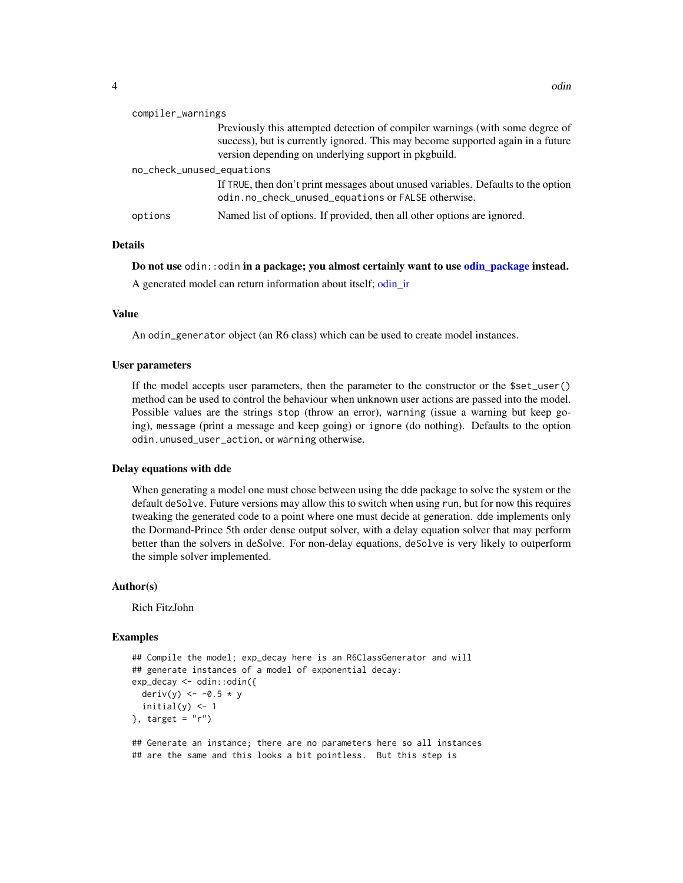<span id="page-3-0"></span>

| compiler_warnings         |                                                                                                                                                                                                                          |
|---------------------------|--------------------------------------------------------------------------------------------------------------------------------------------------------------------------------------------------------------------------|
|                           | Previously this attempted detection of compiler warnings (with some degree of<br>success), but is currently ignored. This may become supported again in a future<br>version depending on underlying support in pkgbuild. |
| no_check_unused_equations |                                                                                                                                                                                                                          |
|                           | If TRUE, then don't print messages about unused variables. Defaults to the option<br>odin.no_check_unused_equations or FALSE otherwise.                                                                                  |
| options                   | Named list of options. If provided, then all other options are ignored.                                                                                                                                                  |

# Details

#### Do not use odin::odin in a package; you almost certainly want to use [odin\\_package](#page-8-1) instead.

A generated model can return information about itself; [odin\\_ir](#page-5-1)

#### Value

An odin\_generator object (an R6 class) which can be used to create model instances.

#### User parameters

If the model accepts user parameters, then the parameter to the constructor or the \$set\_user() method can be used to control the behaviour when unknown user actions are passed into the model. Possible values are the strings stop (throw an error), warning (issue a warning but keep going), message (print a message and keep going) or ignore (do nothing). Defaults to the option odin.unused\_user\_action, or warning otherwise.

#### Delay equations with dde

When generating a model one must chose between using the dde package to solve the system or the default deSolve. Future versions may allow this to switch when using run, but for now this requires tweaking the generated code to a point where one must decide at generation. dde implements only the Dormand-Prince 5th order dense output solver, with a delay equation solver that may perform better than the solvers in deSolve. For non-delay equations, deSolve is very likely to outperform the simple solver implemented.

#### Author(s)

Rich FitzJohn

#### Examples

```
## Compile the model; exp_decay here is an R6ClassGenerator and will
## generate instances of a model of exponential decay:
exp_decay <- odin::odin({
 deriv(y) <- -0.5 * yinitial(y) <- 1
}, target = "r")## Generate an instance; there are no parameters here so all instances
```
## are the same and this looks a bit pointless. But this step is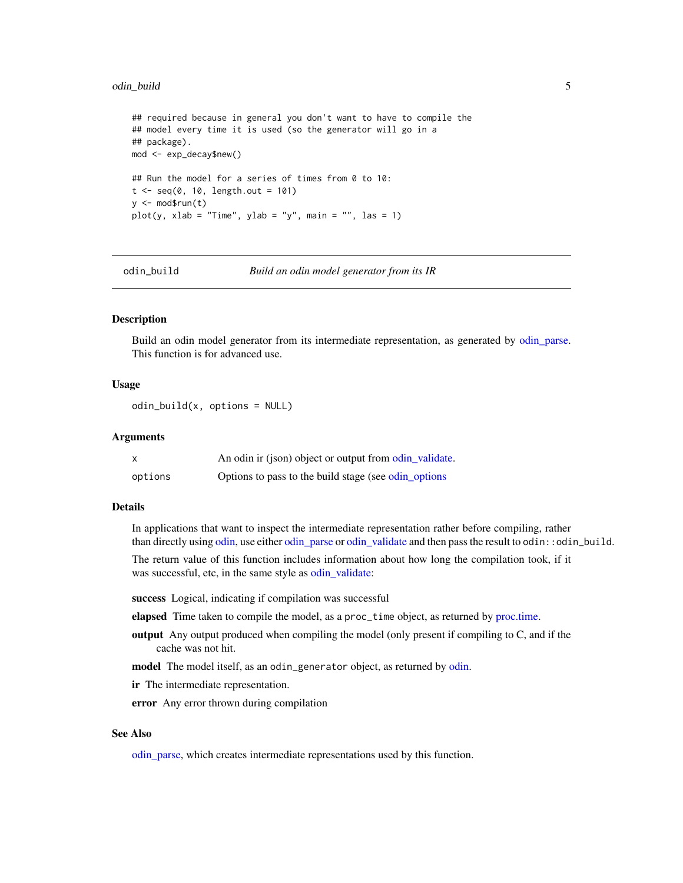#### <span id="page-4-0"></span>odin\_build 5

```
## required because in general you don't want to have to compile the
## model every time it is used (so the generator will go in a
## package).
mod <- exp_decay$new()
## Run the model for a series of times from 0 to 10:
t < - seq(0, 10, length.out = 101)
y \le - mod$run(t)
plot(y, xlab = "Time", ylab = "y", main = "", las = 1)
```
<span id="page-4-1"></span>

odin\_build *Build an odin model generator from its IR*

# Description

Build an odin model generator from its intermediate representation, as generated by [odin\\_parse.](#page-9-1) This function is for advanced use.

# Usage

 $odin_build(x, options = NULL)$ 

#### Arguments

|         | An odin ir (json) object or output from odin validate. |
|---------|--------------------------------------------------------|
| options | Options to pass to the build stage (see odin options)  |

#### Details

In applications that want to inspect the intermediate representation rather before compiling, rather than directly using [odin,](#page-2-1) use either [odin\\_parse](#page-9-1) or [odin\\_validate](#page-10-1) and then pass the result to odin::odin\_build.

The return value of this function includes information about how long the compilation took, if it was successful, etc, in the same style as [odin\\_validate:](#page-10-1)

success Logical, indicating if compilation was successful

elapsed Time taken to compile the model, as a proc\_time object, as returned by [proc.time.](#page-0-0)

output Any output produced when compiling the model (only present if compiling to C, and if the cache was not hit.

model The model itself, as an odin\_generator object, as returned by [odin.](#page-2-1)

ir The intermediate representation.

error Any error thrown during compilation

#### See Also

[odin\\_parse,](#page-9-1) which creates intermediate representations used by this function.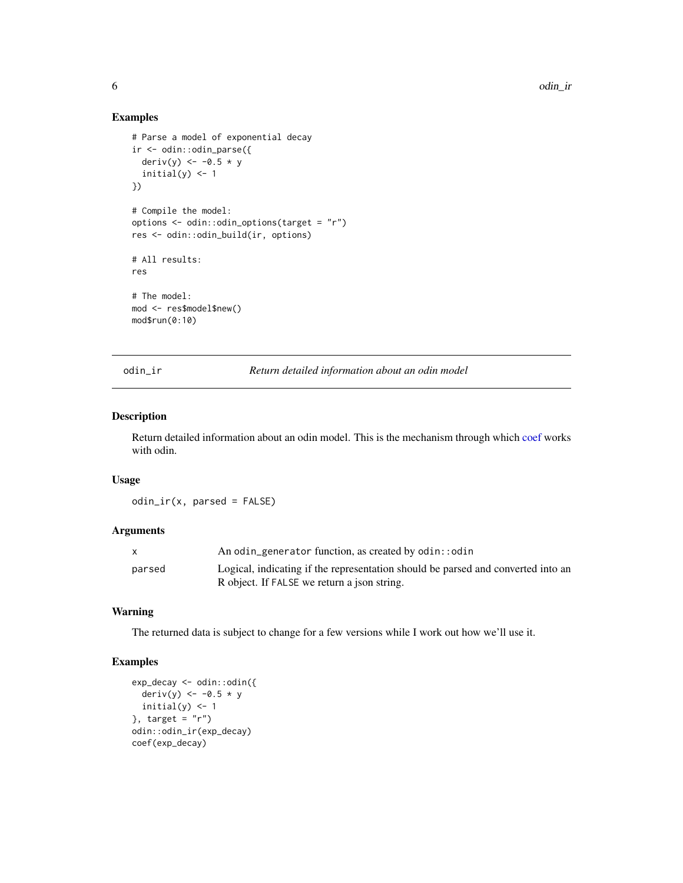# Examples

```
# Parse a model of exponential decay
ir <- odin::odin_parse({
  deriv(y) <- -0.5 * yinitial(y) <- 1
})
# Compile the model:
options <- odin::odin_options(target = "r")
res <- odin::odin_build(ir, options)
# All results:
res
# The model:
mod <- res$model$new()
mod$run(0:10)
```
<span id="page-5-1"></span>odin\_ir *Return detailed information about an odin model*

#### Description

Return detailed information about an odin model. This is the mechanism through which [coef](#page-0-0) works with odin.

#### Usage

odin\_ir(x, parsed = FALSE)

# Arguments

|        | An odin_generator function, as created by odin::odin                             |
|--------|----------------------------------------------------------------------------------|
| parsed | Logical, indicating if the representation should be parsed and converted into an |
|        | R object. If FALSE we return a json string.                                      |

#### Warning

The returned data is subject to change for a few versions while I work out how we'll use it.

# Examples

```
exp_decay <- odin::odin({
 deriv(y) <- -0.5 * yinitial(y) <-1}, target = "r")odin::odin_ir(exp_decay)
coef(exp_decay)
```
<span id="page-5-0"></span>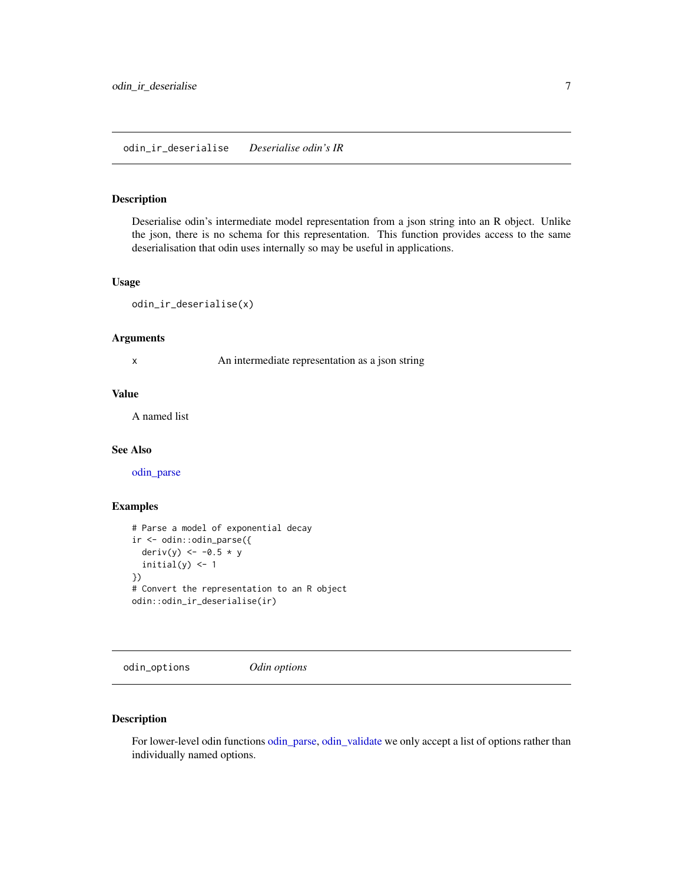#### <span id="page-6-0"></span>odin\_ir\_deserialise *Deserialise odin's IR*

#### Description

Deserialise odin's intermediate model representation from a json string into an R object. Unlike the json, there is no schema for this representation. This function provides access to the same deserialisation that odin uses internally so may be useful in applications.

#### Usage

```
odin_ir_deserialise(x)
```
#### Arguments

x An intermediate representation as a json string

### Value

A named list

#### See Also

[odin\\_parse](#page-9-1)

#### Examples

```
# Parse a model of exponential decay
ir <- odin::odin_parse({
 deriv(y) <- -0.5 * yinitial(y) <-1})
# Convert the representation to an R object
odin::odin_ir_deserialise(ir)
```
<span id="page-6-1"></span>odin\_options *Odin options*

# Description

For lower-level odin functions [odin\\_parse,](#page-9-1) [odin\\_validate](#page-10-1) we only accept a list of options rather than individually named options.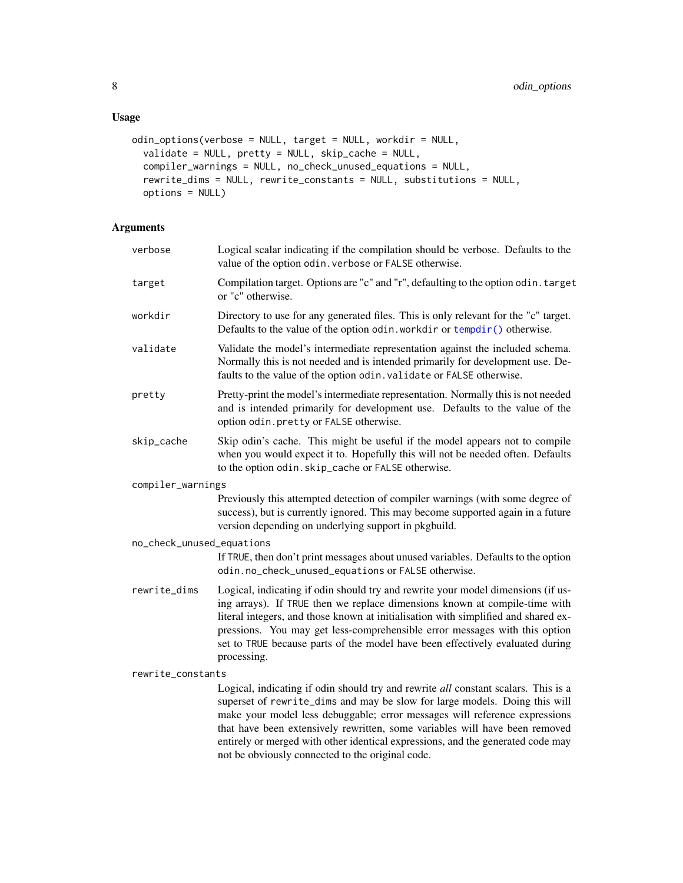```
odin_options(verbose = NULL, target = NULL, workdir = NULL,
 validate = NULL, pretty = NULL, skip_cache = NULL,
 compiler_warnings = NULL, no_check_unused_equations = NULL,
 rewrite_dims = NULL, rewrite_constants = NULL, substitutions = NULL,
 options = NULL)
```
# Arguments

| verbose                   | Logical scalar indicating if the compilation should be verbose. Defaults to the<br>value of the option odin. verbose or FALSE otherwise.                                                                                                                                                                                                                                                                                           |
|---------------------------|------------------------------------------------------------------------------------------------------------------------------------------------------------------------------------------------------------------------------------------------------------------------------------------------------------------------------------------------------------------------------------------------------------------------------------|
| target                    | Compilation target. Options are "c" and "r", defaulting to the option odin. target<br>or "c" otherwise.                                                                                                                                                                                                                                                                                                                            |
| workdir                   | Directory to use for any generated files. This is only relevant for the "c" target.<br>Defaults to the value of the option odin. workdir or $tempdir()$ otherwise.                                                                                                                                                                                                                                                                 |
| validate                  | Validate the model's intermediate representation against the included schema.<br>Normally this is not needed and is intended primarily for development use. De-<br>faults to the value of the option odin. validate or FALSE otherwise.                                                                                                                                                                                            |
| pretty                    | Pretty-print the model's intermediate representation. Normally this is not needed<br>and is intended primarily for development use. Defaults to the value of the<br>option odin.pretty or FALSE otherwise.                                                                                                                                                                                                                         |
| skip_cache                | Skip odin's cache. This might be useful if the model appears not to compile<br>when you would expect it to. Hopefully this will not be needed often. Defaults<br>to the option odin.skip_cache or FALSE otherwise.                                                                                                                                                                                                                 |
| compiler_warnings         | Previously this attempted detection of compiler warnings (with some degree of<br>success), but is currently ignored. This may become supported again in a future<br>version depending on underlying support in pkgbuild.                                                                                                                                                                                                           |
| no_check_unused_equations | If TRUE, then don't print messages about unused variables. Defaults to the option<br>odin.no_check_unused_equations or FALSE otherwise.                                                                                                                                                                                                                                                                                            |
| rewrite_dims              | Logical, indicating if odin should try and rewrite your model dimensions (if us-<br>ing arrays). If TRUE then we replace dimensions known at compile-time with<br>literal integers, and those known at initialisation with simplified and shared ex-<br>pressions. You may get less-comprehensible error messages with this option<br>set to TRUE because parts of the model have been effectively evaluated during<br>processing. |
| rewrite_constants         |                                                                                                                                                                                                                                                                                                                                                                                                                                    |
|                           | Logical, indicating if odin should try and rewrite all constant scalars. This is a<br>superset of rewrite_dims and may be slow for large models. Doing this will<br>make your model less debuggable; error messages will reference expressions<br>that have been extensively rewritten, some variables will have been removed                                                                                                      |

entirely or merged with other identical expressions, and the generated code may

not be obviously connected to the original code.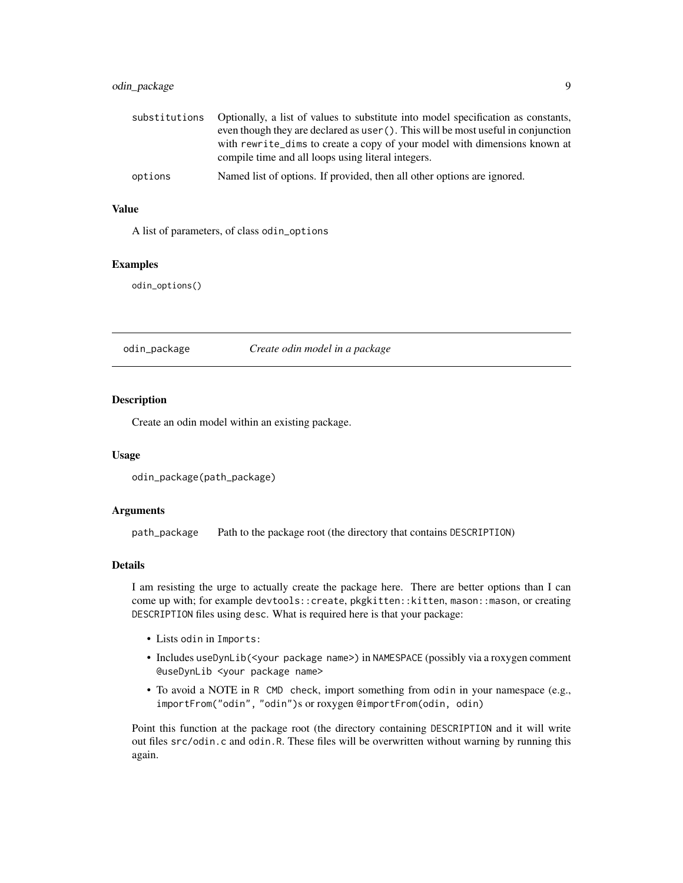# <span id="page-8-0"></span>odin\_package 9

| substitutions | Optionally, a list of values to substitute into model specification as constants,<br>even though they are declared as user (). This will be most useful in conjunction |
|---------------|------------------------------------------------------------------------------------------------------------------------------------------------------------------------|
|               | with rewrite_dims to create a copy of your model with dimensions known at<br>compile time and all loops using literal integers.                                        |
| options       | Named list of options. If provided, then all other options are ignored.                                                                                                |

# Value

A list of parameters, of class odin\_options

#### Examples

odin\_options()

<span id="page-8-1"></span>odin\_package *Create odin model in a package*

#### Description

Create an odin model within an existing package.

#### Usage

odin\_package(path\_package)

#### Arguments

path\_package Path to the package root (the directory that contains DESCRIPTION)

#### Details

I am resisting the urge to actually create the package here. There are better options than I can come up with; for example devtools::create, pkgkitten::kitten, mason::mason, or creating DESCRIPTION files using desc. What is required here is that your package:

- Lists odin in Imports:
- Includes useDynLib(<your package name>) in NAMESPACE (possibly via a roxygen comment @useDynLib <your package name>
- To avoid a NOTE in R CMD check, import something from odin in your namespace (e.g., importFrom("odin", "odin")s or roxygen @importFrom(odin, odin)

Point this function at the package root (the directory containing DESCRIPTION and it will write out files src/odin.c and odin.R. These files will be overwritten without warning by running this again.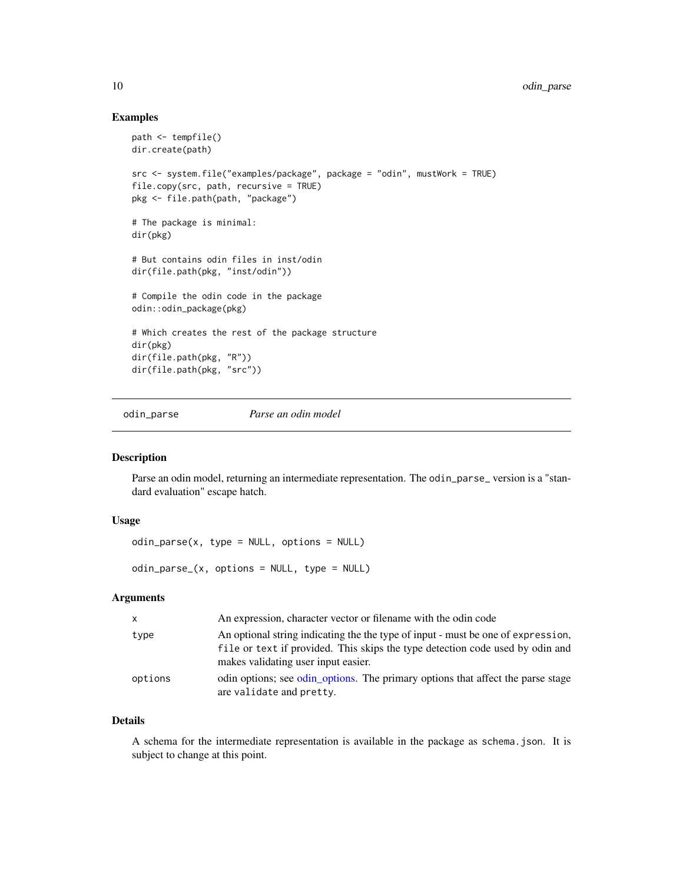#### Examples

```
path <- tempfile()
dir.create(path)
src <- system.file("examples/package", package = "odin", mustWork = TRUE)
file.copy(src, path, recursive = TRUE)
pkg <- file.path(path, "package")
# The package is minimal:
dir(pkg)
# But contains odin files in inst/odin
dir(file.path(pkg, "inst/odin"))
# Compile the odin code in the package
odin::odin_package(pkg)
# Which creates the rest of the package structure
dir(pkg)
dir(file.path(pkg, "R"))
dir(file.path(pkg, "src"))
```
<span id="page-9-1"></span>odin\_parse *Parse an odin model*

#### <span id="page-9-2"></span>Description

Parse an odin model, returning an intermediate representation. The odin\_parse\_ version is a "standard evaluation" escape hatch.

#### Usage

odin\_parse(x, type = NULL, options = NULL)

odin\_parse\_(x, options = NULL, type = NULL)

#### Arguments

| $\mathsf{x}$ | An expression, character vector or filename with the odin code                                                                                                                                           |
|--------------|----------------------------------------------------------------------------------------------------------------------------------------------------------------------------------------------------------|
| type         | An optional string indicating the the type of input - must be one of expression,<br>file or text if provided. This skips the type detection code used by odin and<br>makes validating user input easier. |
| options      | odin options; see odin options. The primary options that affect the parse stage<br>are validate and pretty.                                                                                              |

#### Details

A schema for the intermediate representation is available in the package as schema.json. It is subject to change at this point.

<span id="page-9-0"></span>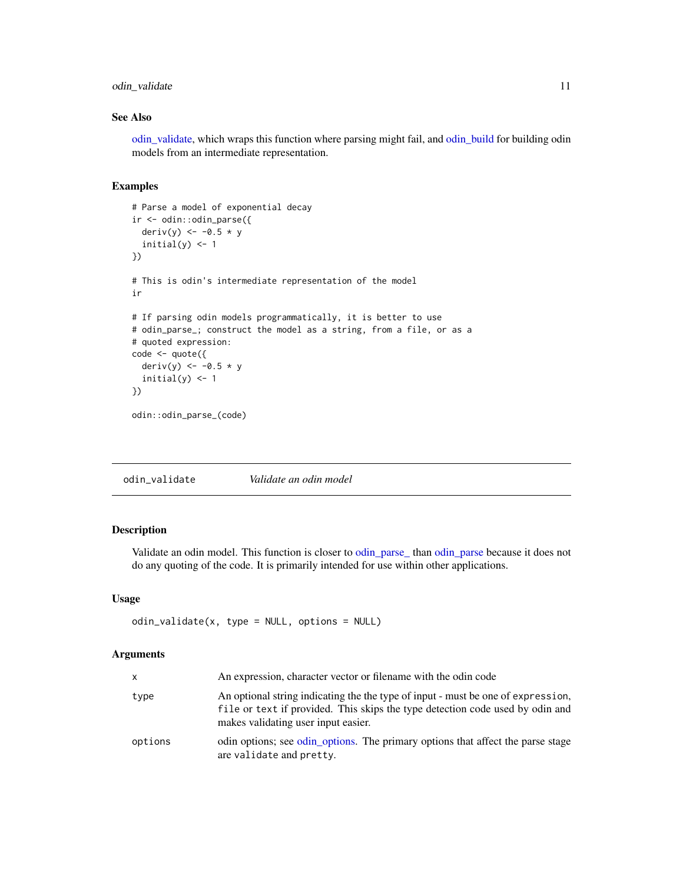# <span id="page-10-0"></span>odin\_validate 11

### See Also

[odin\\_validate,](#page-10-1) which wraps this function where parsing might fail, and [odin\\_build](#page-4-1) for building odin models from an intermediate representation.

#### Examples

```
# Parse a model of exponential decay
ir <- odin::odin_parse({
  deriv(y) <- -0.5 * y
  initial(y) <-1})
# This is odin's intermediate representation of the model
ir
# If parsing odin models programmatically, it is better to use
# odin_parse_; construct the model as a string, from a file, or as a
# quoted expression:
code <- quote({
  deriv(y) <- -0.5 * yinitial(y) <- 1
})
odin::odin_parse_(code)
```
<span id="page-10-1"></span>

| odin_validate | Validate an odin model |  |
|---------------|------------------------|--|
|---------------|------------------------|--|

#### Description

Validate an odin model. This function is closer to [odin\\_parse\\_](#page-9-2) than [odin\\_parse](#page-9-1) because it does not do any quoting of the code. It is primarily intended for use within other applications.

#### Usage

```
odin_validate(x, type = NULL, options = NULL)
```
#### Arguments

| x       | An expression, character vector or filename with the odin code                                                                                                                                           |
|---------|----------------------------------------------------------------------------------------------------------------------------------------------------------------------------------------------------------|
| type    | An optional string indicating the the type of input - must be one of expression,<br>file or text if provided. This skips the type detection code used by odin and<br>makes validating user input easier. |
| options | odin options; see odin options. The primary options that affect the parse stage<br>are validate and pretty.                                                                                              |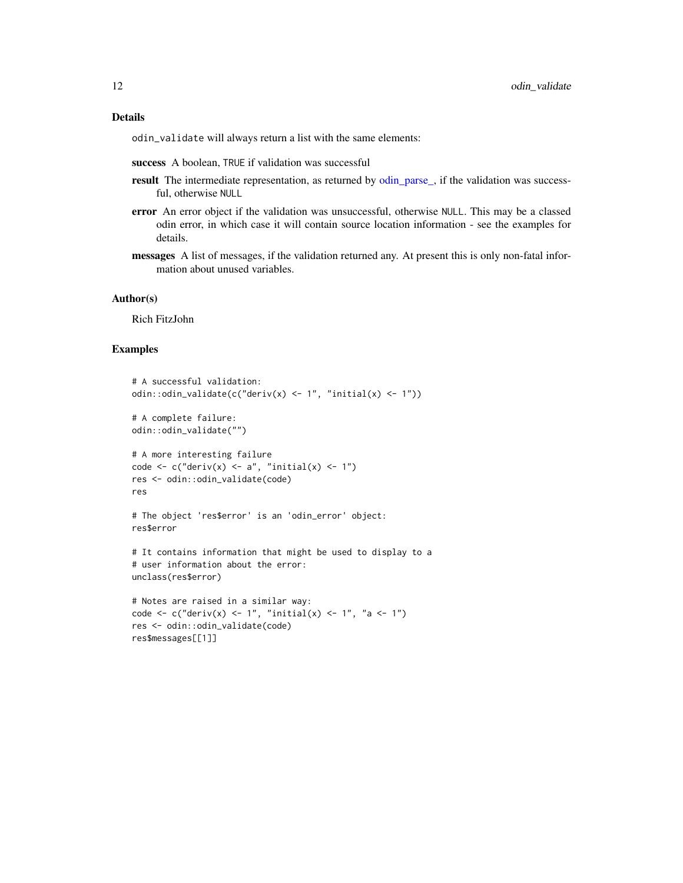# <span id="page-11-0"></span>Details

odin\_validate will always return a list with the same elements:

- success A boolean, TRUE if validation was successful
- result The intermediate representation, as returned by [odin\\_parse\\_,](#page-9-2) if the validation was successful, otherwise NULL
- error An error object if the validation was unsuccessful, otherwise NULL. This may be a classed odin error, in which case it will contain source location information - see the examples for details.
- messages A list of messages, if the validation returned any. At present this is only non-fatal information about unused variables.

#### Author(s)

Rich FitzJohn

#### Examples

```
# A successful validation:
odin::odin_validate(c("deriv(x) <- 1", "initial(x) <- 1"))
# A complete failure:
odin::odin_validate("")
# A more interesting failure
code \leq c("deriv(x) \leq a", "initial(x) \leq 1")
res <- odin::odin_validate(code)
res
# The object 'res$error' is an 'odin_error' object:
res$error
# It contains information that might be used to display to a
# user information about the error:
unclass(res$error)
# Notes are raised in a similar way:
code <- c("deriv(x) <- 1", "initial(x) <- 1", "a <- 1")
res <- odin::odin_validate(code)
res$messages[[1]]
```